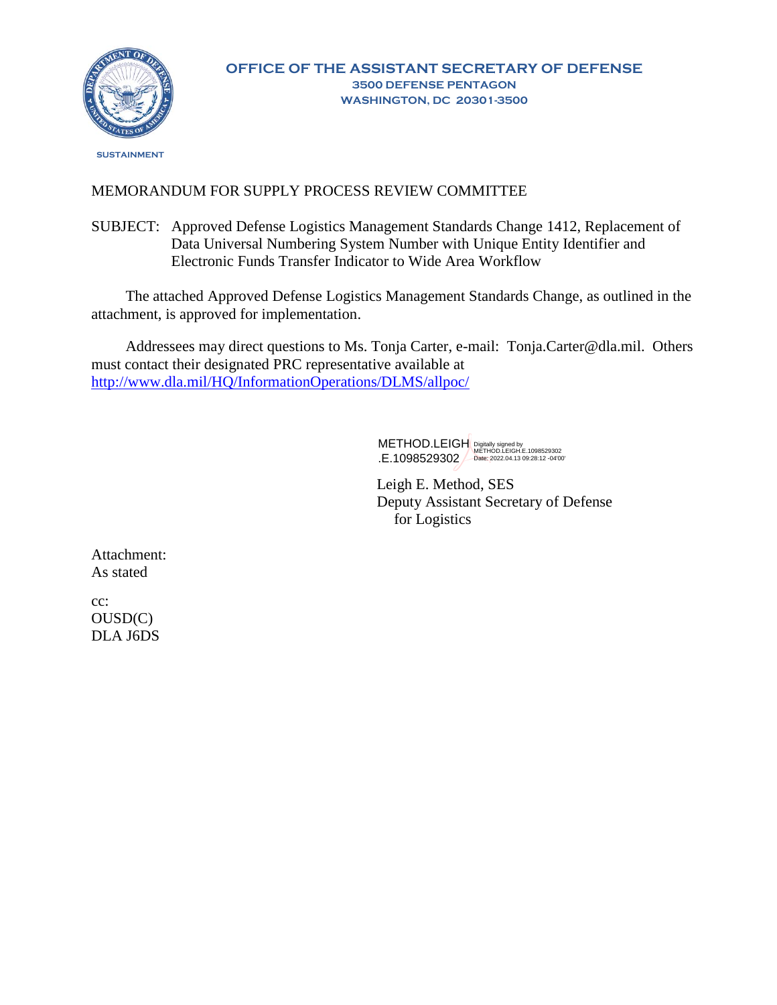

 **SUSTAINMENT** 

## MEMORANDUM FOR SUPPLY PROCESS REVIEW COMMITTEE

SUBJECT: Approved Defense Logistics Management Standards Change 1412, Replacement of Data Universal Numbering System Number with Unique Entity Identifier and Electronic Funds Transfer Indicator to Wide Area Workflow

The attached Approved Defense Logistics Management Standards Change, as outlined in the attachment, is approved for implementation.

Addressees may direct questions to Ms. Tonja Carter, e-mail: Tonja.Carter@dla.mil. Others must contact their designated PRC representative available at <http://www.dla.mil/HQ/InformationOperations/DLMS/allpoc/>

> METHOD.LEIGH .E.1098529302 Digitally signed by METHOD.LEIGH.E.1098529302 Date: 2022.04.13 09:28:12 -04'00'

Leigh E. Method, SES Deputy Assistant Secretary of Defense for Logistics

Attachment: As stated

cc: OUSD(C) DLA J6DS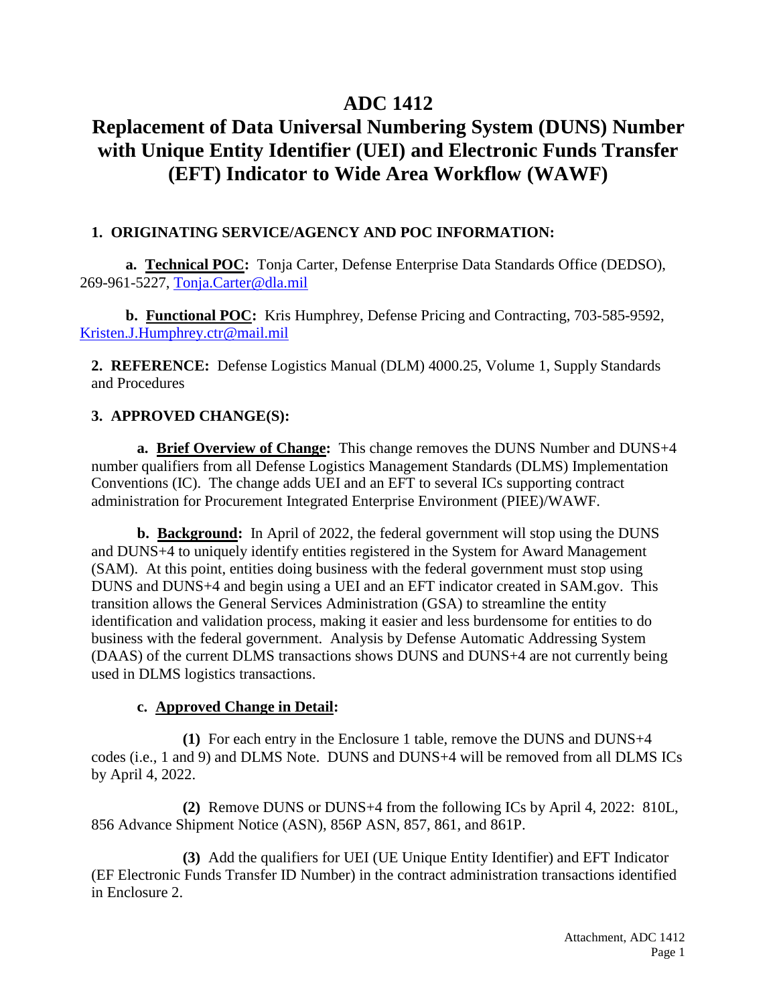## **ADC 1412**

# **Replacement of Data Universal Numbering System (DUNS) Number with Unique Entity Identifier (UEI) and Electronic Funds Transfer (EFT) Indicator to Wide Area Workflow (WAWF)**

## **1. ORIGINATING SERVICE/AGENCY AND POC INFORMATION:**

**a. Technical POC:** Tonja Carter, Defense Enterprise Data Standards Office (DEDSO), 269-961-5227, [Tonja.Carter@dla.mil](mailto:Tonja.Carter@dla.mil)

**b. Functional POC:** Kris Humphrey, Defense Pricing and Contracting, 703-585-9592, [Kristen.J.Humphrey.ctr@mail.mil](mailto:Kristen.J.Humphrey.ctr@mail.mil)

**2. REFERENCE:** Defense Logistics Manual (DLM) 4000.25, Volume 1, Supply Standards and Procedures

## **3. APPROVED CHANGE(S):**

**a. Brief Overview of Change:** This change removes the DUNS Number and DUNS+4 number qualifiers from all Defense Logistics Management Standards (DLMS) Implementation Conventions (IC). The change adds UEI and an EFT to several ICs supporting contract administration for Procurement Integrated Enterprise Environment (PIEE)/WAWF.

**b. Background:** In April of 2022, the federal government will stop using the DUNS and DUNS+4 to uniquely identify entities registered in the System for Award Management (SAM). At this point, entities doing business with the federal government must stop using DUNS and DUNS+4 and begin using a UEI and an EFT indicator created in SAM.gov. This transition allows the General Services Administration (GSA) to streamline the entity identification and validation process, making it easier and less burdensome for entities to do business with the federal government. Analysis by Defense Automatic Addressing System (DAAS) of the current DLMS transactions shows DUNS and DUNS+4 are not currently being used in DLMS logistics transactions.

## **c. Approved Change in Detail:**

**(1)** For each entry in the Enclosure 1 table, remove the DUNS and DUNS+4 codes (i.e., 1 and 9) and DLMS Note. DUNS and DUNS+4 will be removed from all DLMS ICs by April 4, 2022.

**(2)** Remove DUNS or DUNS+4 from the following ICs by April 4, 2022: 810L, 856 Advance Shipment Notice (ASN), 856P ASN, 857, 861, and 861P.

**(3)** Add the qualifiers for UEI (UE Unique Entity Identifier) and EFT Indicator (EF Electronic Funds Transfer ID Number) in the contract administration transactions identified in Enclosure 2.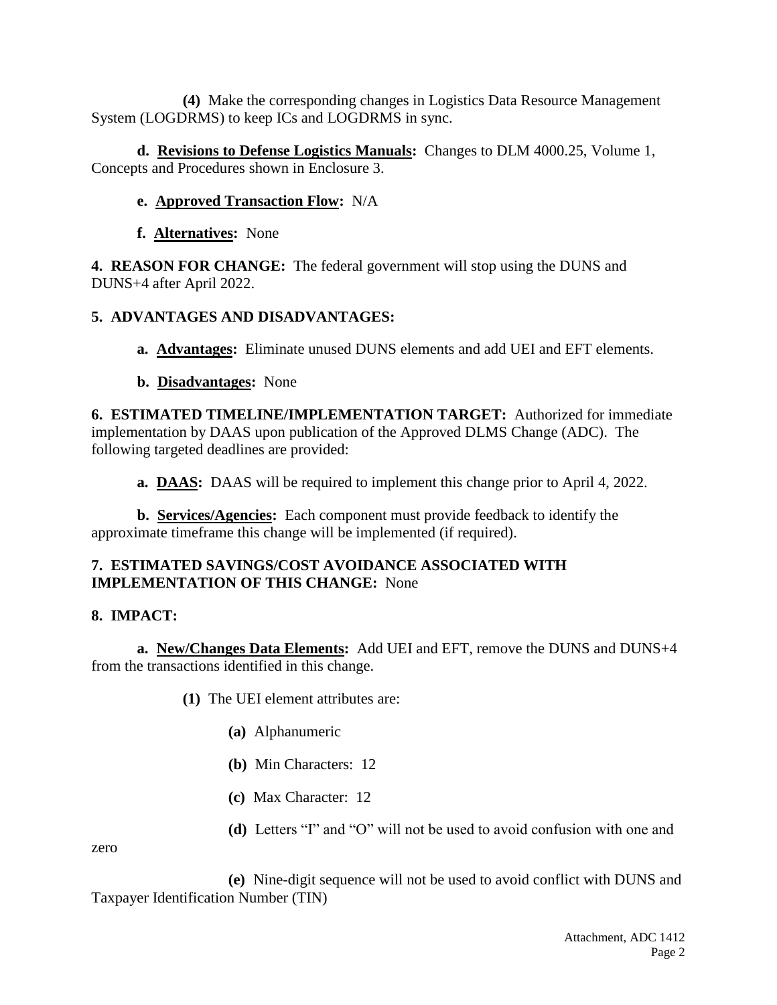**(4)** Make the corresponding changes in Logistics Data Resource Management System (LOGDRMS) to keep ICs and LOGDRMS in sync.

**d. Revisions to Defense Logistics Manuals:** Changes to DLM 4000.25, Volume 1, Concepts and Procedures shown in Enclosure 3.

## **e. Approved Transaction Flow:** N/A

## **f. Alternatives:** None

**4. REASON FOR CHANGE:** The federal government will stop using the DUNS and DUNS+4 after April 2022.

## **5. ADVANTAGES AND DISADVANTAGES:**

- **a. Advantages:** Eliminate unused DUNS elements and add UEI and EFT elements.
- **b. Disadvantages:** None

**6. ESTIMATED TIMELINE/IMPLEMENTATION TARGET:** Authorized for immediate implementation by DAAS upon publication of the Approved DLMS Change (ADC). The following targeted deadlines are provided:

**a. DAAS:** DAAS will be required to implement this change prior to April 4, 2022.

**b. Services/Agencies:** Each component must provide feedback to identify the approximate timeframe this change will be implemented (if required).

## **7. ESTIMATED SAVINGS/COST AVOIDANCE ASSOCIATED WITH IMPLEMENTATION OF THIS CHANGE:** None

## **8. IMPACT:**

**a. New/Changes Data Elements:** Add UEI and EFT, remove the DUNS and DUNS+4 from the transactions identified in this change.

- **(1)** The UEI element attributes are:
	- **(a)** Alphanumeric
	- **(b)** Min Characters: 12
	- **(c)** Max Character: 12
	- **(d)** Letters "I" and "O" will not be used to avoid confusion with one and

zero

**(e)** Nine-digit sequence will not be used to avoid conflict with DUNS and Taxpayer Identification Number (TIN)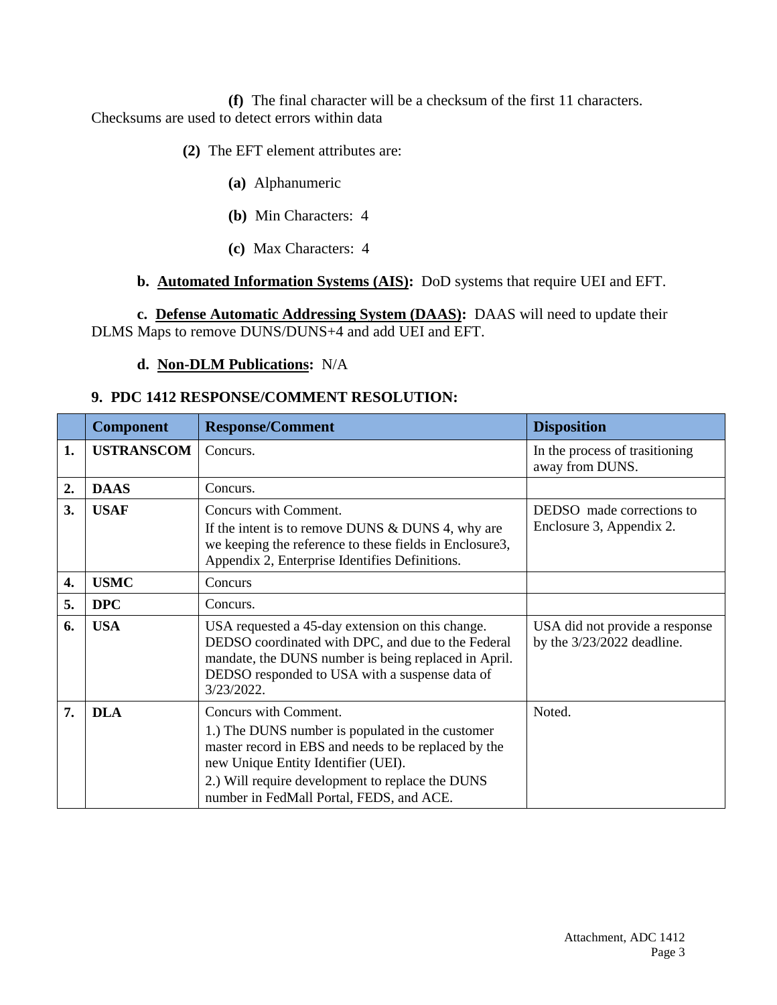**(f)** The final character will be a checksum of the first 11 characters. Checksums are used to detect errors within data

**(2)** The EFT element attributes are:

- **(a)** Alphanumeric
- **(b)** Min Characters: 4
- **(c)** Max Characters: 4

## **b. Automated Information Systems (AIS):** DoD systems that require UEI and EFT.

**c. Defense Automatic Addressing System (DAAS):** DAAS will need to update their DLMS Maps to remove DUNS/DUNS+4 and add UEI and EFT.

## **d. Non-DLM Publications:** N/A

## **9. PDC 1412 RESPONSE/COMMENT RESOLUTION:**

|    | <b>Component</b>  | <b>Response/Comment</b>                                                                                                                                                                                                                                                  | <b>Disposition</b>                                             |
|----|-------------------|--------------------------------------------------------------------------------------------------------------------------------------------------------------------------------------------------------------------------------------------------------------------------|----------------------------------------------------------------|
| 1. | <b>USTRANSCOM</b> | Concurs.                                                                                                                                                                                                                                                                 | In the process of trasitioning<br>away from DUNS.              |
| 2. | <b>DAAS</b>       | Concurs.                                                                                                                                                                                                                                                                 |                                                                |
| 3. | <b>USAF</b>       | Concurs with Comment.<br>If the intent is to remove DUNS & DUNS 4, why are<br>we keeping the reference to these fields in Enclosure3,<br>Appendix 2, Enterprise Identifies Definitions.                                                                                  | DEDSO made corrections to<br>Enclosure 3, Appendix 2.          |
| 4. | <b>USMC</b>       | Concurs                                                                                                                                                                                                                                                                  |                                                                |
| 5. | <b>DPC</b>        | Concurs.                                                                                                                                                                                                                                                                 |                                                                |
| 6. | <b>USA</b>        | USA requested a 45-day extension on this change.<br>DEDSO coordinated with DPC, and due to the Federal<br>mandate, the DUNS number is being replaced in April.<br>DEDSO responded to USA with a suspense data of<br>3/23/2022.                                           | USA did not provide a response<br>by the $3/23/2022$ deadline. |
| 7. | <b>DLA</b>        | Concurs with Comment.<br>1.) The DUNS number is populated in the customer<br>master record in EBS and needs to be replaced by the<br>new Unique Entity Identifier (UEI).<br>2.) Will require development to replace the DUNS<br>number in FedMall Portal, FEDS, and ACE. | Noted.                                                         |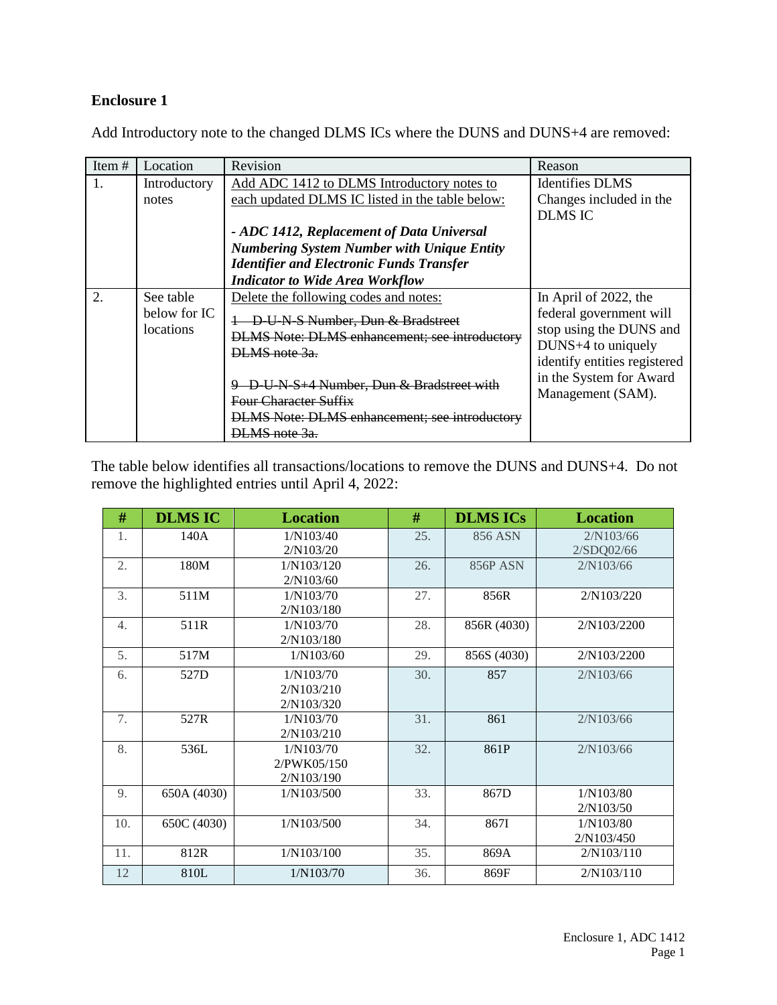## **Enclosure 1**

Add Introductory note to the changed DLMS ICs where the DUNS and DUNS+4 are removed:

| Item $#$         | Location     | Revision                                             | Reason                       |
|------------------|--------------|------------------------------------------------------|------------------------------|
| $\mathbf{1}$ .   | Introductory | Add ADC 1412 to DLMS Introductory notes to           | <b>Identifies DLMS</b>       |
|                  | notes        | each updated DLMS IC listed in the table below:      | Changes included in the      |
|                  |              |                                                      | <b>DLMS IC</b>               |
|                  |              | - ADC 1412, Replacement of Data Universal            |                              |
|                  |              | <b>Numbering System Number with Unique Entity</b>    |                              |
|                  |              | <b>Identifier and Electronic Funds Transfer</b>      |                              |
|                  |              | <b>Indicator to Wide Area Workflow</b>               |                              |
| $\overline{2}$ . | See table    | Delete the following codes and notes:                | In April of 2022, the        |
|                  | below for IC | D-U-N-S Number, Dun & Bradstreet                     | federal government will      |
|                  | locations    | <b>DLMS</b> Note: DLMS enhancement; see introductory | stop using the DUNS and      |
|                  |              | DLMS note 3a.                                        | DUNS+4 to uniquely           |
|                  |              |                                                      | identify entities registered |
|                  |              | D-U-N-S+4 Number, Dun & Bradstreet with              | in the System for Award      |
|                  |              | <b>Four Character Suffix</b>                         | Management (SAM).            |
|                  |              | <b>DLMS</b> Note: DLMS enhancement; see introductory |                              |
|                  |              | DLMS note 3a.                                        |                              |

The table below identifies all transactions/locations to remove the DUNS and DUNS+4. Do not remove the highlighted entries until April 4, 2022:

| #   | <b>DLMS IC</b> | <b>Location</b> | #   | <b>DLMS ICs</b> | <b>Location</b> |
|-----|----------------|-----------------|-----|-----------------|-----------------|
| 1.  | 140A           | 1/N103/40       | 25. | 856 ASN         | 2/N103/66       |
|     |                | 2/N103/20       |     |                 | 2/SDQ02/66      |
| 2.  | 180M           | 1/N103/120      | 26. | 856P ASN        | 2/N103/66       |
|     |                | 2/N103/60       |     |                 |                 |
| 3.  | 511M           | 1/N103/70       | 27. | 856R            | 2/N103/220      |
|     |                | 2/N103/180      |     |                 |                 |
| 4.  | 511R           | 1/N103/70       | 28. | 856R (4030)     | 2/N103/2200     |
|     |                | 2/N103/180      |     |                 |                 |
| 5.  | 517M           | 1/N103/60       | 29. | 856S (4030)     | 2/N103/2200     |
| 6.  | 527D           | 1/N103/70       | 30. | 857             | 2/N103/66       |
|     |                | 2/N103/210      |     |                 |                 |
|     |                | 2/N103/320      |     |                 |                 |
| 7.  | 527R           | 1/N103/70       | 31. | 861             | 2/N103/66       |
|     |                | 2/N103/210      |     |                 |                 |
| 8.  | 536L           | 1/N103/70       | 32. | 861P            | 2/N103/66       |
|     |                | 2/PWK05/150     |     |                 |                 |
|     |                | 2/N103/190      |     |                 |                 |
| 9.  | 650A (4030)    | 1/N103/500      | 33. | 867D            | 1/N103/80       |
|     |                |                 |     |                 | 2/N103/50       |
| 10. | 650C (4030)    | 1/N103/500      | 34. | 867I            | 1/N103/80       |
|     |                |                 |     |                 | 2/N103/450      |
| 11. | 812R           | 1/N103/100      | 35. | 869A            | 2/N103/110      |
| 12  | 810L           | 1/N103/70       | 36. | 869F            | 2/N103/110      |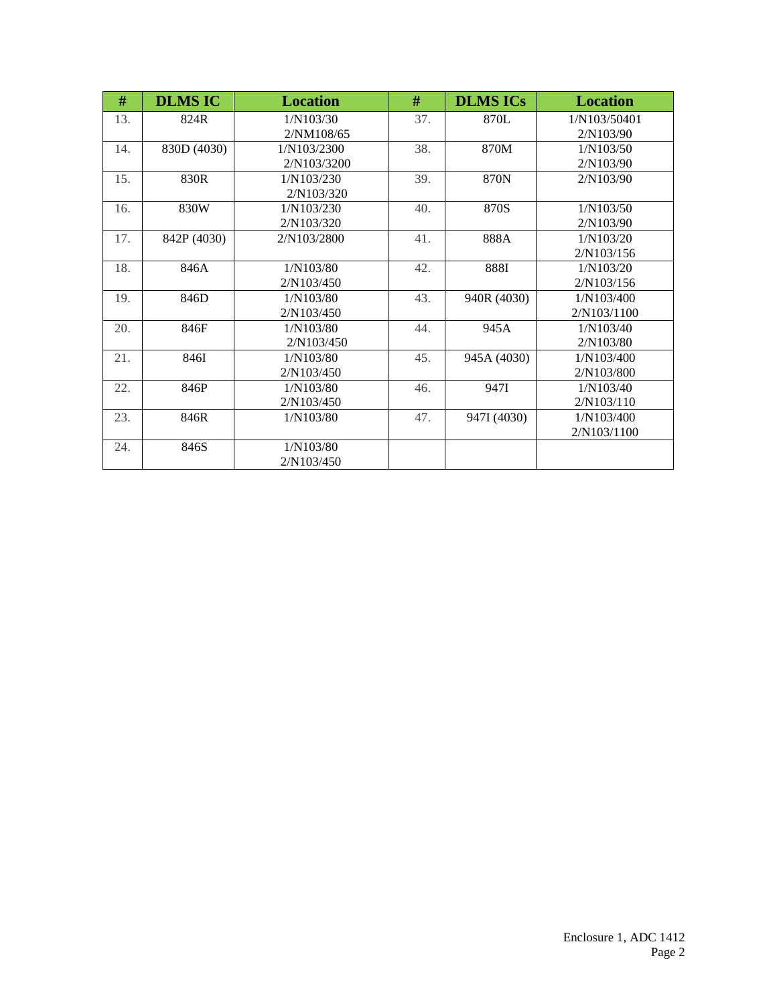| #   | <b>DLMS IC</b> | <b>Location</b> | #   | <b>DLMS ICs</b> | <b>Location</b> |
|-----|----------------|-----------------|-----|-----------------|-----------------|
| 13. | 824R           | 1/N103/30       | 37. | 870L            | 1/N103/50401    |
|     |                | 2/NM108/65      |     |                 | 2/N103/90       |
| 14. | 830D (4030)    | 1/N103/2300     | 38. | 870M            | 1/N103/50       |
|     |                | 2/N103/3200     |     |                 | 2/N103/90       |
| 15. | 830R           | 1/N103/230      | 39. | 870N            | 2/N103/90       |
|     |                | 2/N103/320      |     |                 |                 |
| 16. | 830W           | 1/N103/230      | 40. | 870S            | 1/N103/50       |
|     |                | 2/N103/320      |     |                 | 2/N103/90       |
| 17. | 842P (4030)    | 2/N103/2800     | 41. | 888A            | 1/N103/20       |
|     |                |                 |     |                 | 2/N103/156      |
| 18. | 846A           | 1/N103/80       | 42. | 888I            | 1/N103/20       |
|     |                | 2/N103/450      |     |                 | 2/N103/156      |
| 19. | 846D           | 1/N103/80       | 43. | 940R (4030)     | 1/N103/400      |
|     |                | 2/N103/450      |     |                 | 2/N103/1100     |
| 20. | 846F           | 1/N103/80       | 44. | 945A            | 1/N103/40       |
|     |                | 2/N103/450      |     |                 | 2/N103/80       |
| 21. | 846I           | 1/N103/80       | 45. | 945A (4030)     | 1/N103/400      |
|     |                | 2/N103/450      |     |                 | 2/N103/800      |
| 22. | 846P           | 1/N103/80       | 46. | 947I            | 1/N103/40       |
|     |                | 2/N103/450      |     |                 | 2/N103/110      |
| 23. | 846R           | 1/N103/80       | 47. | 947I (4030)     | 1/N103/400      |
|     |                |                 |     |                 | 2/N103/1100     |
| 24. | 846S           | 1/N103/80       |     |                 |                 |
|     |                | 2/N103/450      |     |                 |                 |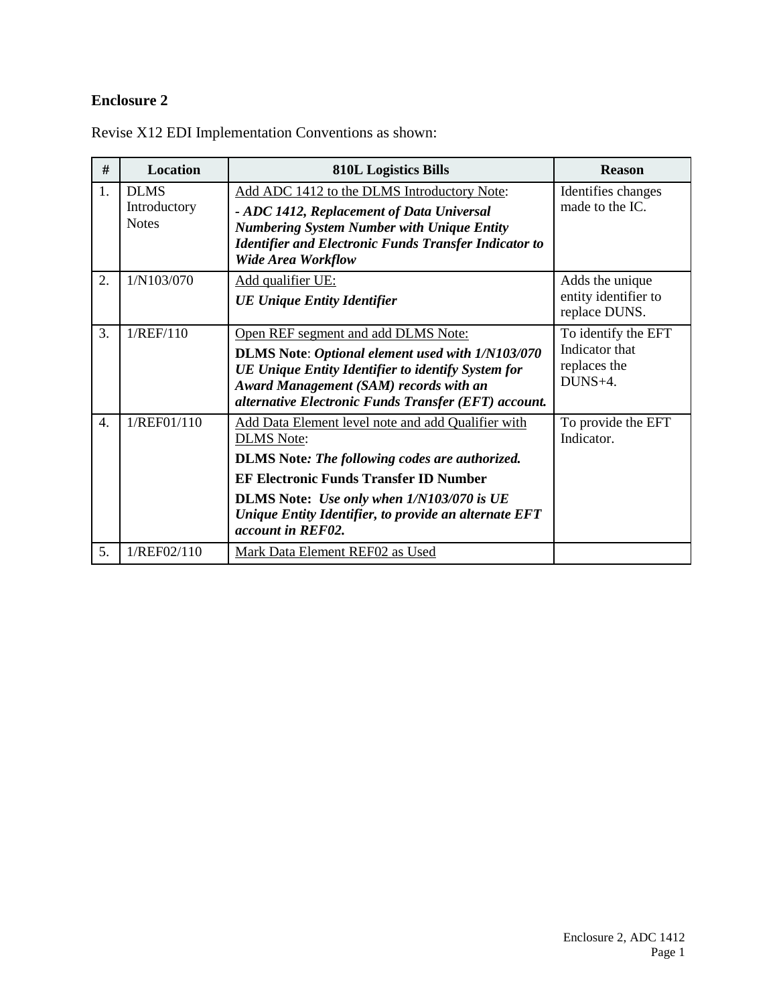## **Enclosure 2**

| #                | <b>Location</b>                             | <b>810L Logistics Bills</b>                                                                                                                                                                                                                                                                                  | <b>Reason</b>                                                    |
|------------------|---------------------------------------------|--------------------------------------------------------------------------------------------------------------------------------------------------------------------------------------------------------------------------------------------------------------------------------------------------------------|------------------------------------------------------------------|
| 1.               | <b>DLMS</b><br>Introductory<br><b>Notes</b> | Add ADC 1412 to the DLMS Introductory Note:<br>- ADC 1412, Replacement of Data Universal<br><b>Numbering System Number with Unique Entity</b><br><b>Identifier and Electronic Funds Transfer Indicator to</b><br><b>Wide Area Workflow</b>                                                                   | Identifies changes<br>made to the IC.                            |
| 2.               | 1/N103/070                                  | Add qualifier UE:<br><b>UE Unique Entity Identifier</b>                                                                                                                                                                                                                                                      | Adds the unique<br>entity identifier to<br>replace DUNS.         |
| 3.               | 1/REF/110                                   | Open REF segment and add DLMS Note:<br>DLMS Note: Optional element used with 1/N103/070<br>UE Unique Entity Identifier to identify System for<br><b>Award Management (SAM) records with an</b><br>alternative Electronic Funds Transfer (EFT) account.                                                       | To identify the EFT<br>Indicator that<br>replaces the<br>DUNS+4. |
| $\overline{4}$ . | 1/REF01/110                                 | Add Data Element level note and add Qualifier with<br><b>DLMS</b> Note:<br><b>DLMS</b> Note: The following codes are authorized.<br><b>EF Electronic Funds Transfer ID Number</b><br>DLMS Note: Use only when 1/N103/070 is UE<br>Unique Entity Identifier, to provide an alternate EFT<br>account in REF02. | To provide the EFT<br>Indicator.                                 |
| 5.               | 1/REF02/110                                 | Mark Data Element REF02 as Used                                                                                                                                                                                                                                                                              |                                                                  |

Revise X12 EDI Implementation Conventions as shown: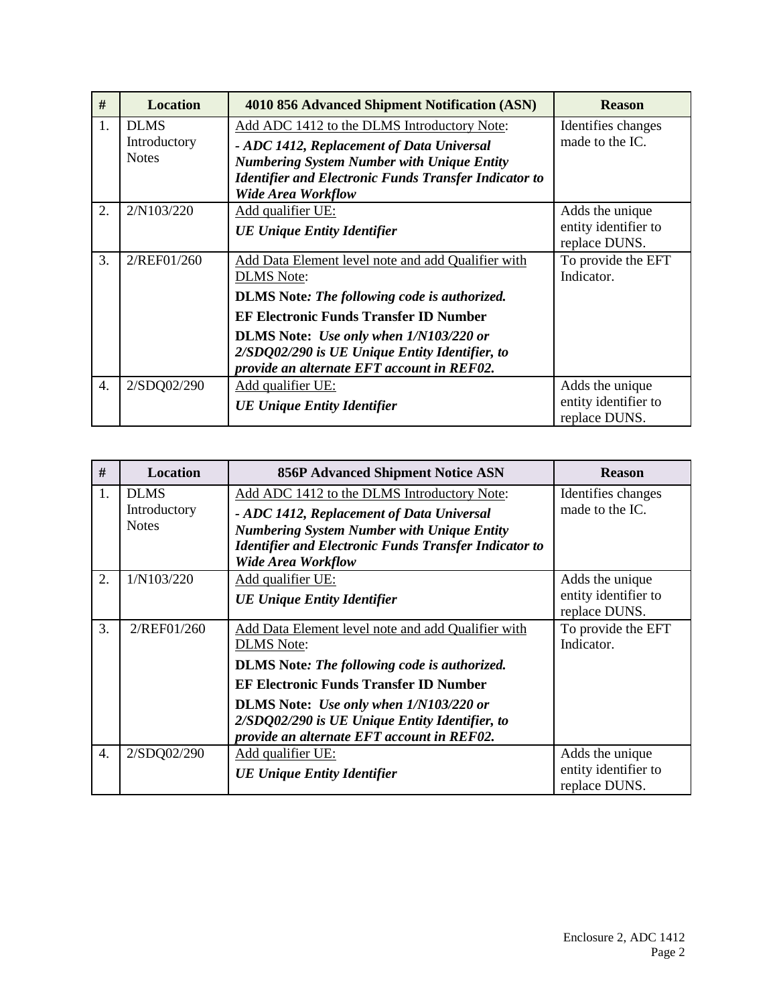| #                | <b>Location</b>                             | 4010 856 Advanced Shipment Notification (ASN)                                                                                                                                                                                                                                                                                    | <b>Reason</b>                                            |
|------------------|---------------------------------------------|----------------------------------------------------------------------------------------------------------------------------------------------------------------------------------------------------------------------------------------------------------------------------------------------------------------------------------|----------------------------------------------------------|
| $\mathbf{1}$ .   | <b>DLMS</b><br>Introductory<br><b>Notes</b> | Add ADC 1412 to the DLMS Introductory Note:<br>- ADC 1412, Replacement of Data Universal<br><b>Numbering System Number with Unique Entity</b><br><b>Identifier and Electronic Funds Transfer Indicator to</b><br><b>Wide Area Workflow</b>                                                                                       | Identifies changes<br>made to the IC.                    |
| 2.               | 2/N103/220                                  | Add qualifier UE:<br><b>UE Unique Entity Identifier</b>                                                                                                                                                                                                                                                                          | Adds the unique<br>entity identifier to<br>replace DUNS. |
| 3.               | 2/REF01/260                                 | Add Data Element level note and add Qualifier with<br><b>DLMS</b> Note:<br><b>DLMS</b> Note: The following code is authorized.<br><b>EF Electronic Funds Transfer ID Number</b><br><b>DLMS</b> Note: Use only when 1/N103/220 or<br>2/SDQ02/290 is UE Unique Entity Identifier, to<br>provide an alternate EFT account in REF02. | To provide the EFT<br>Indicator.                         |
| $\overline{4}$ . | 2/SDQ02/290                                 | <b>Add qualifier UE:</b><br><b>UE Unique Entity Identifier</b>                                                                                                                                                                                                                                                                   | Adds the unique<br>entity identifier to<br>replace DUNS. |

| #                | <b>Location</b>                             | <b>856P Advanced Shipment Notice ASN</b>                                                                                                                                                                                                   | <b>Reason</b>                                            |
|------------------|---------------------------------------------|--------------------------------------------------------------------------------------------------------------------------------------------------------------------------------------------------------------------------------------------|----------------------------------------------------------|
| 1.               | <b>DLMS</b><br>Introductory<br><b>Notes</b> | Add ADC 1412 to the DLMS Introductory Note:<br>- ADC 1412, Replacement of Data Universal<br><b>Numbering System Number with Unique Entity</b><br><b>Identifier and Electronic Funds Transfer Indicator to</b><br><b>Wide Area Workflow</b> | Identifies changes<br>made to the IC.                    |
| 2.               | 1/N103/220                                  | Add qualifier UE:<br><b>UE Unique Entity Identifier</b>                                                                                                                                                                                    | Adds the unique<br>entity identifier to<br>replace DUNS. |
| 3.               | 2/REF01/260                                 | Add Data Element level note and add Qualifier with<br><b>DLMS</b> Note:<br><b>DLMS</b> Note: The following code is authorized.                                                                                                             | To provide the EFT<br>Indicator.                         |
|                  |                                             | <b>EF Electronic Funds Transfer ID Number</b><br><b>DLMS</b> Note: Use only when $1/N103/220$ or<br>2/SDQ02/290 is UE Unique Entity Identifier, to<br>provide an alternate EFT account in REF02.                                           |                                                          |
| $\overline{4}$ . | 2/SDQ02/290                                 | Add qualifier UE:<br><b>UE Unique Entity Identifier</b>                                                                                                                                                                                    | Adds the unique<br>entity identifier to<br>replace DUNS. |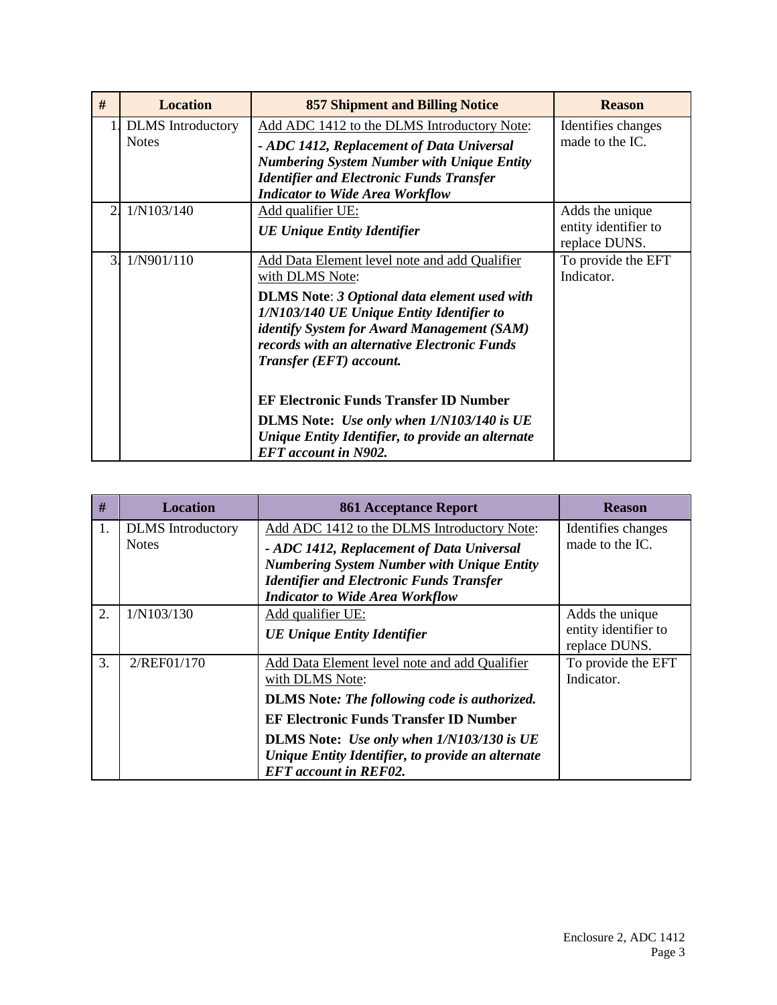| #                | <b>Location</b>          | <b>857 Shipment and Billing Notice</b>                                                     | <b>Reason</b>                         |
|------------------|--------------------------|--------------------------------------------------------------------------------------------|---------------------------------------|
|                  | <b>DLMS</b> Introductory | Add ADC 1412 to the DLMS Introductory Note:                                                | Identifies changes                    |
|                  | <b>Notes</b>             | - ADC 1412, Replacement of Data Universal                                                  | made to the IC.                       |
|                  |                          | <b>Numbering System Number with Unique Entity</b>                                          |                                       |
|                  |                          | <b>Identifier and Electronic Funds Transfer</b><br><b>Indicator to Wide Area Workflow</b>  |                                       |
| $\overline{2}$ . | 1/N103/140               | Add qualifier UE:                                                                          | Adds the unique                       |
|                  |                          | <b>UE Unique Entity Identifier</b>                                                         | entity identifier to<br>replace DUNS. |
| $\overline{3}$   | 1/N901/110               | Add Data Element level note and add Qualifier                                              | To provide the EFT                    |
|                  |                          | with DLMS Note:                                                                            | Indicator.                            |
|                  |                          | <b>DLMS</b> Note: 3 Optional data element used with                                        |                                       |
|                  |                          | 1/N103/140 UE Unique Entity Identifier to                                                  |                                       |
|                  |                          | identify System for Award Management (SAM)<br>records with an alternative Electronic Funds |                                       |
|                  |                          | Transfer (EFT) account.                                                                    |                                       |
|                  |                          | <b>EF Electronic Funds Transfer ID Number</b>                                              |                                       |
|                  |                          | <b>DLMS</b> Note: <i>Use only when 1/N103/140 is UE</i>                                    |                                       |
|                  |                          | Unique Entity Identifier, to provide an alternate<br><b>EFT</b> account in N902.           |                                       |

| #              | <b>Location</b>                          | <b>861 Acceptance Report</b>                                                                                                                                                                                                                                                                               | <b>Reason</b>                                            |
|----------------|------------------------------------------|------------------------------------------------------------------------------------------------------------------------------------------------------------------------------------------------------------------------------------------------------------------------------------------------------------|----------------------------------------------------------|
| $\mathbf{1}$ . | <b>DLMS</b> Introductory<br><b>Notes</b> | Add ADC 1412 to the DLMS Introductory Note:<br>- ADC 1412, Replacement of Data Universal<br><b>Numbering System Number with Unique Entity</b><br><b>Identifier and Electronic Funds Transfer</b><br><b>Indicator to Wide Area Workflow</b>                                                                 | Identifies changes<br>made to the IC.                    |
| 2.             | 1/N103/130                               | Add qualifier UE:<br><b>UE Unique Entity Identifier</b>                                                                                                                                                                                                                                                    | Adds the unique<br>entity identifier to<br>replace DUNS. |
| 3.             | 2/REF01/170                              | Add Data Element level note and add Qualifier<br>with DLMS Note:<br><b>DLMS</b> Note: The following code is authorized.<br><b>EF Electronic Funds Transfer ID Number</b><br>DLMS Note: Use only when 1/N103/130 is UE<br>Unique Entity Identifier, to provide an alternate<br><b>EFT</b> account in REF02. | To provide the EFT<br>Indicator.                         |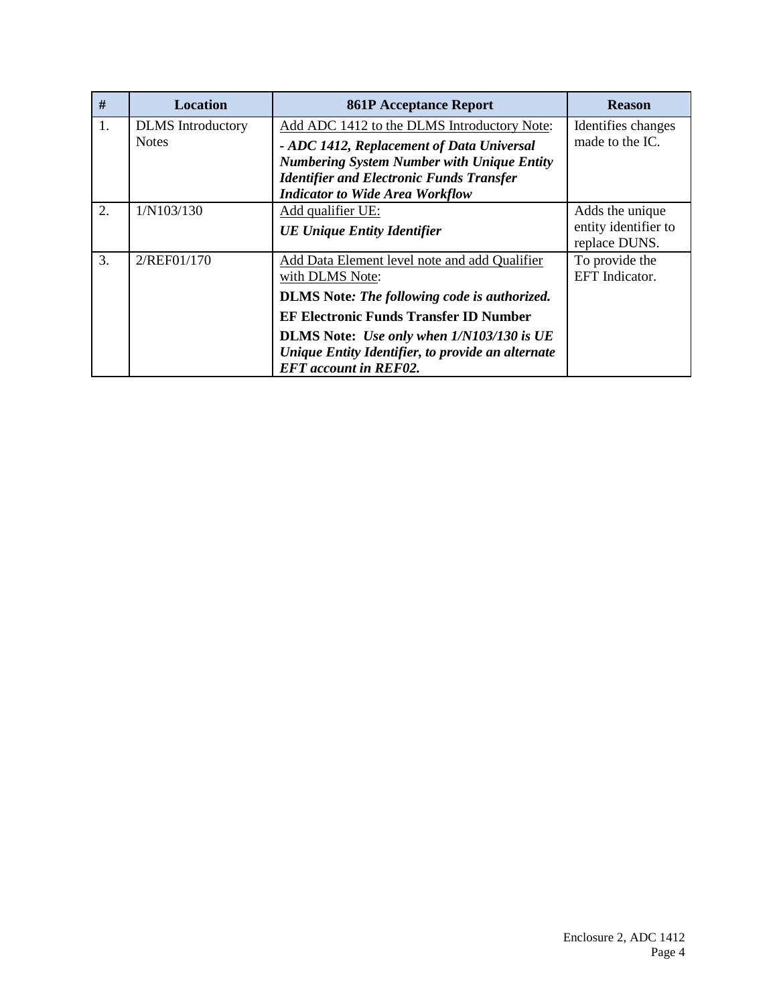| #  | <b>Location</b>          | <b>861P Acceptance Report</b>                       | <b>Reason</b>        |
|----|--------------------------|-----------------------------------------------------|----------------------|
| 1. | <b>DLMS</b> Introductory | Add ADC 1412 to the DLMS Introductory Note:         | Identifies changes   |
|    | <b>Notes</b>             | - ADC 1412, Replacement of Data Universal           | made to the IC.      |
|    |                          | <b>Numbering System Number with Unique Entity</b>   |                      |
|    |                          | <b>Identifier and Electronic Funds Transfer</b>     |                      |
|    |                          | <b>Indicator to Wide Area Workflow</b>              |                      |
| 2. | 1/N103/130               | Add qualifier UE:                                   | Adds the unique      |
|    |                          | <b>UE Unique Entity Identifier</b>                  | entity identifier to |
|    |                          |                                                     | replace DUNS.        |
| 3. | 2/REF01/170              | Add Data Element level note and add Qualifier       | To provide the       |
|    |                          | with DLMS Note:                                     | EFT Indicator.       |
|    |                          | <b>DLMS</b> Note: The following code is authorized. |                      |
|    |                          | <b>EF Electronic Funds Transfer ID Number</b>       |                      |
|    |                          | DLMS Note: Use only when 1/N103/130 is UE           |                      |
|    |                          | Unique Entity Identifier, to provide an alternate   |                      |
|    |                          | <b>EFT</b> account in REF02.                        |                      |